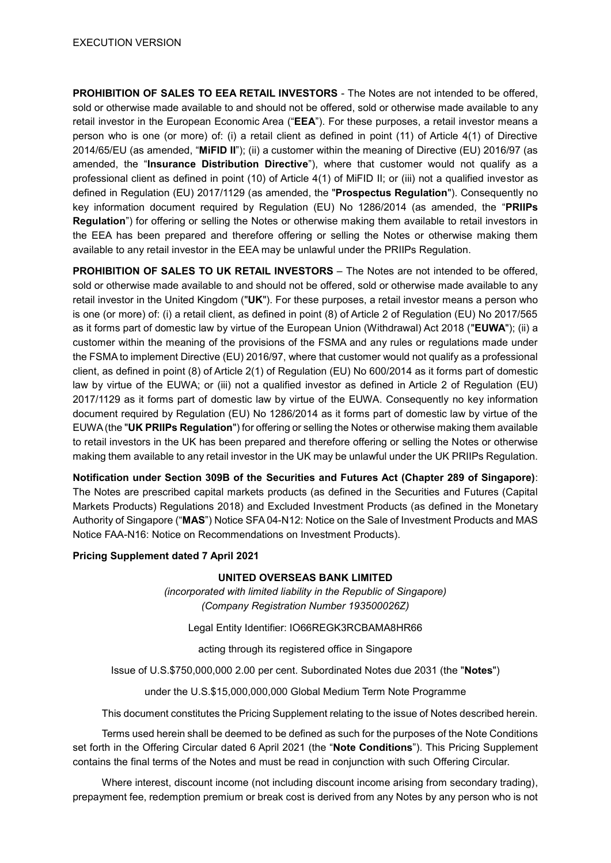**PROHIBITION OF SALES TO EEA RETAIL INVESTORS** - The Notes are not intended to be offered, sold or otherwise made available to and should not be offered, sold or otherwise made available to any retail investor in the European Economic Area ("**EEA**"). For these purposes, a retail investor means a person who is one (or more) of: (i) a retail client as defined in point (11) of Article 4(1) of Directive 2014/65/EU (as amended, "**MiFID II**"); (ii) a customer within the meaning of Directive (EU) 2016/97 (as amended, the "**Insurance Distribution Directive**"), where that customer would not qualify as a professional client as defined in point (10) of Article 4(1) of MiFID II; or (iii) not a qualified investor as defined in Regulation (EU) 2017/1129 (as amended, the "**Prospectus Regulation**"). Consequently no key information document required by Regulation (EU) No 1286/2014 (as amended, the "**PRIIPs Regulation**") for offering or selling the Notes or otherwise making them available to retail investors in the EEA has been prepared and therefore offering or selling the Notes or otherwise making them available to any retail investor in the EEA may be unlawful under the PRIIPs Regulation.

**PROHIBITION OF SALES TO UK RETAIL INVESTORS** – The Notes are not intended to be offered, sold or otherwise made available to and should not be offered, sold or otherwise made available to any retail investor in the United Kingdom ("**UK**"). For these purposes, a retail investor means a person who is one (or more) of: (i) a retail client, as defined in point (8) of Article 2 of Regulation (EU) No 2017/565 as it forms part of domestic law by virtue of the European Union (Withdrawal) Act 2018 ("**EUWA**"); (ii) a customer within the meaning of the provisions of the FSMA and any rules or regulations made under the FSMA to implement Directive (EU) 2016/97, where that customer would not qualify as a professional client, as defined in point (8) of Article 2(1) of Regulation (EU) No 600/2014 as it forms part of domestic law by virtue of the EUWA; or (iii) not a qualified investor as defined in Article 2 of Regulation (EU) 2017/1129 as it forms part of domestic law by virtue of the EUWA. Consequently no key information document required by Regulation (EU) No 1286/2014 as it forms part of domestic law by virtue of the EUWA (the "**UK PRIIPs Regulation**") for offering or selling the Notes or otherwise making them available to retail investors in the UK has been prepared and therefore offering or selling the Notes or otherwise making them available to any retail investor in the UK may be unlawful under the UK PRIIPs Regulation.

**Notification under Section 309B of the Securities and Futures Act (Chapter 289 of Singapore)**: The Notes are prescribed capital markets products (as defined in the Securities and Futures (Capital Markets Products) Regulations 2018) and Excluded Investment Products (as defined in the Monetary Authority of Singapore ("**MAS**") Notice SFA 04-N12: Notice on the Sale of Investment Products and MAS Notice FAA-N16: Notice on Recommendations on Investment Products).

#### **Pricing Supplement dated 7 April 2021**

#### **UNITED OVERSEAS BANK LIMITED**

*(incorporated with limited liability in the Republic of Singapore) (Company Registration Number 193500026Z)*

Legal Entity Identifier: IO66REGK3RCBAMA8HR66

acting through its registered office in Singapore

Issue of U.S.\$750,000,000 2.00 per cent. Subordinated Notes due 2031 (the "**Notes**")

under the U.S.\$15,000,000,000 Global Medium Term Note Programme

This document constitutes the Pricing Supplement relating to the issue of Notes described herein.

Terms used herein shall be deemed to be defined as such for the purposes of the Note Conditions set forth in the Offering Circular dated 6 April 2021 (the "**Note Conditions**"). This Pricing Supplement contains the final terms of the Notes and must be read in conjunction with such Offering Circular.

Where interest, discount income (not including discount income arising from secondary trading), prepayment fee, redemption premium or break cost is derived from any Notes by any person who is not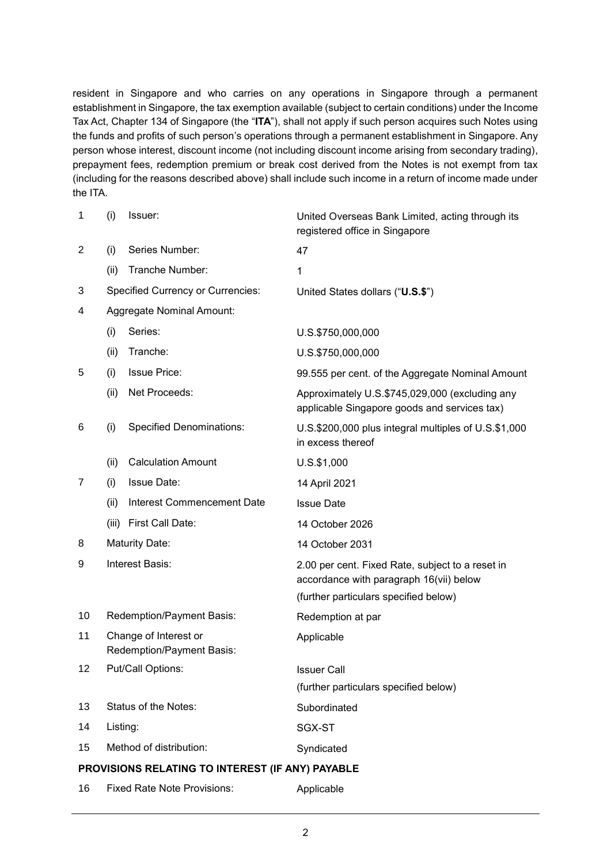resident in Singapore and who carries on any operations in Singapore through a permanent establishment in Singapore, the tax exemption available (subject to certain conditions) under the Income Tax Act, Chapter 134 of Singapore (the "**ITA**"), shall not apply if such person acquires such Notes using the funds and profits of such person's operations through a permanent establishment in Singapore. Any person whose interest, discount income (not including discount income arising from secondary trading), prepayment fees, redemption premium or break cost derived from the Notes is not exempt from tax (including for the reasons described above) shall include such income in a return of income made under the ITA.

| 1                                                | (i)                                                | Issuer:                                  | United Overseas Bank Limited, acting through its<br>registered office in Singapore             |  |
|--------------------------------------------------|----------------------------------------------------|------------------------------------------|------------------------------------------------------------------------------------------------|--|
| $\overline{2}$                                   | (i)                                                | Series Number:                           | 47                                                                                             |  |
|                                                  | (ii)                                               | Tranche Number:                          | 1                                                                                              |  |
| 3                                                |                                                    | <b>Specified Currency or Currencies:</b> | United States dollars ("U.S.\$")                                                               |  |
| 4                                                |                                                    | <b>Aggregate Nominal Amount:</b>         |                                                                                                |  |
|                                                  | (i)                                                | Series:                                  | U.S.\$750,000,000                                                                              |  |
|                                                  | (ii)                                               | Tranche:                                 | U.S.\$750,000,000                                                                              |  |
| 5                                                | (i)                                                | <b>Issue Price:</b>                      | 99.555 per cent. of the Aggregate Nominal Amount                                               |  |
|                                                  | (ii)                                               | Net Proceeds:                            | Approximately U.S.\$745,029,000 (excluding any<br>applicable Singapore goods and services tax) |  |
| 6                                                | (i)                                                | <b>Specified Denominations:</b>          | U.S.\$200,000 plus integral multiples of U.S.\$1,000<br>in excess thereof                      |  |
|                                                  | (ii)                                               | <b>Calculation Amount</b>                | $U.S.$ \$1,000                                                                                 |  |
| 7                                                | (i)                                                | <b>Issue Date:</b>                       | 14 April 2021                                                                                  |  |
|                                                  | (ii)                                               | <b>Interest Commencement Date</b>        | <b>Issue Date</b>                                                                              |  |
|                                                  | (iii)                                              | First Call Date:                         | 14 October 2026                                                                                |  |
| 8                                                | <b>Maturity Date:</b>                              |                                          | 14 October 2031                                                                                |  |
| 9                                                | Interest Basis:                                    |                                          | 2.00 per cent. Fixed Rate, subject to a reset in<br>accordance with paragraph 16(vii) below    |  |
|                                                  |                                                    |                                          | (further particulars specified below)                                                          |  |
| 10                                               | Redemption/Payment Basis:                          |                                          | Redemption at par                                                                              |  |
| 11                                               | Change of Interest or<br>Redemption/Payment Basis: |                                          | Applicable                                                                                     |  |
| 12                                               |                                                    | Put/Call Options:                        | Issuer Call                                                                                    |  |
|                                                  |                                                    |                                          | (further particulars specified below)                                                          |  |
| 13                                               | Status of the Notes:                               |                                          | Subordinated                                                                                   |  |
| 14                                               | Listing:                                           |                                          | SGX-ST                                                                                         |  |
| 15                                               | Method of distribution:                            |                                          | Syndicated                                                                                     |  |
| PROVISIONS RELATING TO INTEREST (IF ANY) PAYABLE |                                                    |                                          |                                                                                                |  |
| 16                                               |                                                    | <b>Fixed Rate Note Provisions:</b>       | Applicable                                                                                     |  |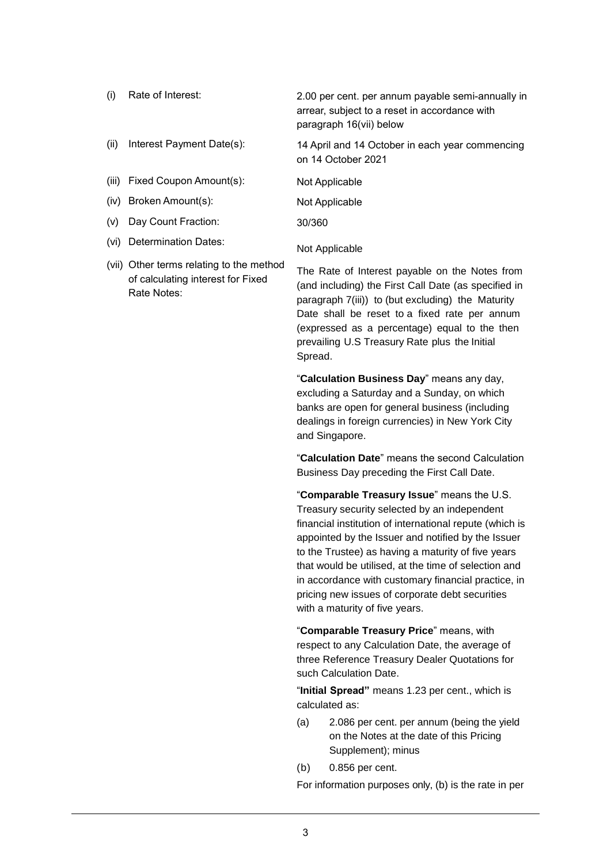- (i) Rate of Interest: 2.00 per cent. per annum payable semi-annually in arrear, subject to a reset in accordance with paragraph 16(vii) below (ii) Interest Payment Date(s): 14 April and 14 October in each year commencing on 14 October 2021 (iii) Fixed Coupon Amount(s): Not Applicable (iv) Broken Amount(s): Not Applicable (v) Day Count Fraction: 30/360
- (vi) Determination Dates: Not Applicable
- (vii) Other terms relating to the method of calculating interest for Fixed Rate Notes:

The Rate of Interest payable on the Notes from (and including) the First Call Date (as specified in paragraph 7(iii)) to (but excluding) the Maturity Date shall be reset to a fixed rate per annum (expressed as a percentage) equal to the then prevailing U.S Treasury Rate plus the Initial Spread.

"**Calculation Business Day**" means any day, excluding a Saturday and a Sunday, on which banks are open for general business (including dealings in foreign currencies) in New York City and Singapore.

"**Calculation Date**" means the second Calculation Business Day preceding the First Call Date.

"**Comparable Treasury Issue**" means the U.S. Treasury security selected by an independent financial institution of international repute (which is appointed by the Issuer and notified by the Issuer to the Trustee) as having a maturity of five years that would be utilised, at the time of selection and in accordance with customary financial practice, in pricing new issues of corporate debt securities with a maturity of five years.

"**Comparable Treasury Price**" means, with respect to any Calculation Date, the average of three Reference Treasury Dealer Quotations for such Calculation Date.

"**Initial Spread"** means 1.23 per cent., which is calculated as:

- (a) 2.086 per cent. per annum (being the yield on the Notes at the date of this Pricing Supplement); minus
- (b) 0.856 per cent.

For information purposes only, (b) is the rate in per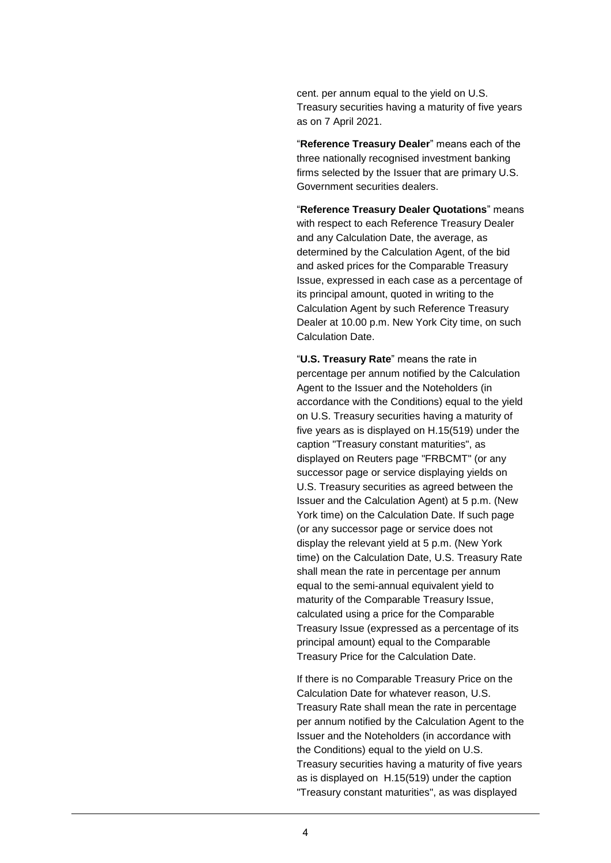cent. per annum equal to the yield on U.S. Treasury securities having a maturity of five years as on 7 April 2021.

"**Reference Treasury Dealer**" means each of the three nationally recognised investment banking firms selected by the Issuer that are primary U.S. Government securities dealers.

"**Reference Treasury Dealer Quotations**" means with respect to each Reference Treasury Dealer and any Calculation Date, the average, as determined by the Calculation Agent, of the bid and asked prices for the Comparable Treasury Issue, expressed in each case as a percentage of its principal amount, quoted in writing to the Calculation Agent by such Reference Treasury Dealer at 10.00 p.m. New York City time, on such Calculation Date.

"**U.S. Treasury Rate**" means the rate in percentage per annum notified by the Calculation Agent to the Issuer and the Noteholders (in accordance with the Conditions) equal to the yield on U.S. Treasury securities having a maturity of five years as is displayed on H.15(519) under the caption "Treasury constant maturities", as displayed on Reuters page "FRBCMT" (or any successor page or service displaying yields on U.S. Treasury securities as agreed between the Issuer and the Calculation Agent) at 5 p.m. (New York time) on the Calculation Date. If such page (or any successor page or service does not display the relevant yield at 5 p.m. (New York time) on the Calculation Date, U.S. Treasury Rate shall mean the rate in percentage per annum equal to the semi-annual equivalent yield to maturity of the Comparable Treasury Issue, calculated using a price for the Comparable Treasury Issue (expressed as a percentage of its principal amount) equal to the Comparable Treasury Price for the Calculation Date.

If there is no Comparable Treasury Price on the Calculation Date for whatever reason, U.S. Treasury Rate shall mean the rate in percentage per annum notified by the Calculation Agent to the Issuer and the Noteholders (in accordance with the Conditions) equal to the yield on U.S. Treasury securities having a maturity of five years as is displayed on H.15(519) under the caption "Treasury constant maturities", as was displayed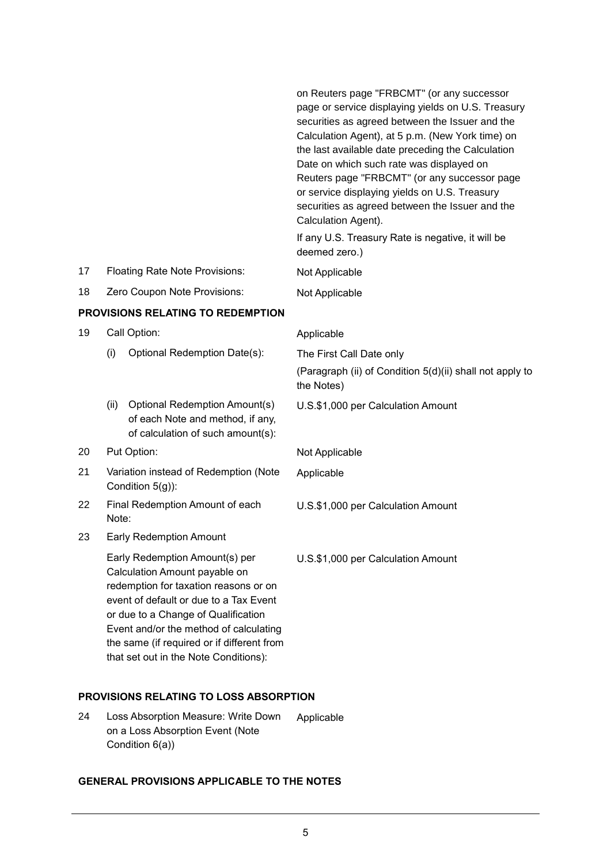|                                          |                                                             |                                                                                                                                                                                                                                                                                                                            | on Reuters page "FRBCMT" (or any successor<br>page or service displaying yields on U.S. Treasury<br>securities as agreed between the Issuer and the<br>Calculation Agent), at 5 p.m. (New York time) on<br>the last available date preceding the Calculation<br>Date on which such rate was displayed on<br>Reuters page "FRBCMT" (or any successor page<br>or service displaying yields on U.S. Treasury<br>securities as agreed between the Issuer and the<br>Calculation Agent).<br>If any U.S. Treasury Rate is negative, it will be<br>deemed zero.) |  |
|------------------------------------------|-------------------------------------------------------------|----------------------------------------------------------------------------------------------------------------------------------------------------------------------------------------------------------------------------------------------------------------------------------------------------------------------------|-----------------------------------------------------------------------------------------------------------------------------------------------------------------------------------------------------------------------------------------------------------------------------------------------------------------------------------------------------------------------------------------------------------------------------------------------------------------------------------------------------------------------------------------------------------|--|
| 17                                       |                                                             | <b>Floating Rate Note Provisions:</b>                                                                                                                                                                                                                                                                                      | Not Applicable                                                                                                                                                                                                                                                                                                                                                                                                                                                                                                                                            |  |
| 18                                       |                                                             | Zero Coupon Note Provisions:                                                                                                                                                                                                                                                                                               | Not Applicable                                                                                                                                                                                                                                                                                                                                                                                                                                                                                                                                            |  |
| <b>PROVISIONS RELATING TO REDEMPTION</b> |                                                             |                                                                                                                                                                                                                                                                                                                            |                                                                                                                                                                                                                                                                                                                                                                                                                                                                                                                                                           |  |
| 19                                       |                                                             | Call Option:                                                                                                                                                                                                                                                                                                               | Applicable                                                                                                                                                                                                                                                                                                                                                                                                                                                                                                                                                |  |
|                                          | (i)                                                         | Optional Redemption Date(s):                                                                                                                                                                                                                                                                                               | The First Call Date only                                                                                                                                                                                                                                                                                                                                                                                                                                                                                                                                  |  |
|                                          |                                                             |                                                                                                                                                                                                                                                                                                                            | (Paragraph (ii) of Condition 5(d)(ii) shall not apply to<br>the Notes)                                                                                                                                                                                                                                                                                                                                                                                                                                                                                    |  |
|                                          | (ii)                                                        | <b>Optional Redemption Amount(s)</b><br>of each Note and method, if any,<br>of calculation of such amount(s):                                                                                                                                                                                                              | U.S.\$1,000 per Calculation Amount                                                                                                                                                                                                                                                                                                                                                                                                                                                                                                                        |  |
| 20                                       |                                                             | Put Option:                                                                                                                                                                                                                                                                                                                | Not Applicable                                                                                                                                                                                                                                                                                                                                                                                                                                                                                                                                            |  |
| 21                                       | Variation instead of Redemption (Note<br>Condition $5(g)$ : |                                                                                                                                                                                                                                                                                                                            | Applicable                                                                                                                                                                                                                                                                                                                                                                                                                                                                                                                                                |  |
| 22                                       | Final Redemption Amount of each<br>Note:                    |                                                                                                                                                                                                                                                                                                                            | U.S.\$1,000 per Calculation Amount                                                                                                                                                                                                                                                                                                                                                                                                                                                                                                                        |  |
| 23                                       |                                                             | <b>Early Redemption Amount</b>                                                                                                                                                                                                                                                                                             |                                                                                                                                                                                                                                                                                                                                                                                                                                                                                                                                                           |  |
|                                          |                                                             | Early Redemption Amount(s) per<br>Calculation Amount payable on<br>redemption for taxation reasons or on<br>event of default or due to a Tax Event<br>or due to a Change of Qualification<br>Event and/or the method of calculating<br>the same (if required or if different from<br>that set out in the Note Conditions): | U.S.\$1,000 per Calculation Amount                                                                                                                                                                                                                                                                                                                                                                                                                                                                                                                        |  |
|                                          |                                                             | PROVISIONS RELATING TO LOSS ABSORPTION                                                                                                                                                                                                                                                                                     |                                                                                                                                                                                                                                                                                                                                                                                                                                                                                                                                                           |  |

24 Loss Absorption Measure: Write Down on a Loss Absorption Event (Note Condition 6(a)) Applicable

# **GENERAL PROVISIONS APPLICABLE TO THE NOTES**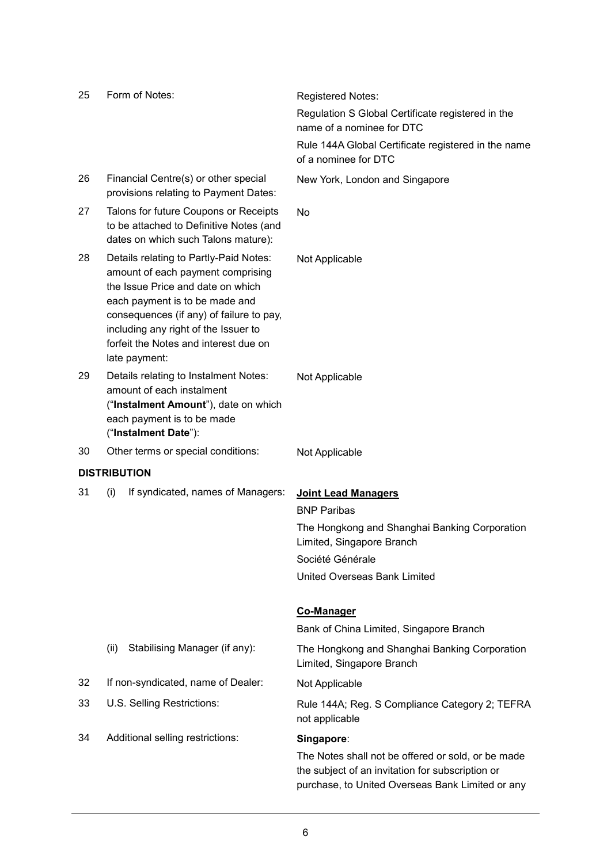| 25 | Form of Notes:                                                                                                                                                                                                                                                                                   | Registered Notes:                                                                                                                                          |
|----|--------------------------------------------------------------------------------------------------------------------------------------------------------------------------------------------------------------------------------------------------------------------------------------------------|------------------------------------------------------------------------------------------------------------------------------------------------------------|
|    |                                                                                                                                                                                                                                                                                                  | Regulation S Global Certificate registered in the<br>name of a nominee for DTC                                                                             |
|    |                                                                                                                                                                                                                                                                                                  | Rule 144A Global Certificate registered in the name<br>of a nominee for DTC                                                                                |
| 26 | Financial Centre(s) or other special<br>provisions relating to Payment Dates:                                                                                                                                                                                                                    | New York, London and Singapore                                                                                                                             |
| 27 | Talons for future Coupons or Receipts<br>to be attached to Definitive Notes (and<br>dates on which such Talons mature):                                                                                                                                                                          | <b>No</b>                                                                                                                                                  |
| 28 | Details relating to Partly-Paid Notes:<br>amount of each payment comprising<br>the Issue Price and date on which<br>each payment is to be made and<br>consequences (if any) of failure to pay,<br>including any right of the Issuer to<br>forfeit the Notes and interest due on<br>late payment: | Not Applicable                                                                                                                                             |
| 29 | Details relating to Instalment Notes:<br>amount of each instalment<br>("Instalment Amount"), date on which<br>each payment is to be made<br>("Instalment Date"):                                                                                                                                 | Not Applicable                                                                                                                                             |
| 30 | Other terms or special conditions:                                                                                                                                                                                                                                                               | Not Applicable                                                                                                                                             |
|    | <b>DISTRIBUTION</b>                                                                                                                                                                                                                                                                              |                                                                                                                                                            |
| 31 | If syndicated, names of Managers:<br>(i)                                                                                                                                                                                                                                                         | <b>Joint Lead Managers</b>                                                                                                                                 |
|    |                                                                                                                                                                                                                                                                                                  | <b>BNP Paribas</b>                                                                                                                                         |
|    |                                                                                                                                                                                                                                                                                                  | The Hongkong and Shanghai Banking Corporation<br>Limited, Singapore Branch                                                                                 |
|    |                                                                                                                                                                                                                                                                                                  | Société Générale                                                                                                                                           |
|    |                                                                                                                                                                                                                                                                                                  | United Overseas Bank Limited                                                                                                                               |
|    |                                                                                                                                                                                                                                                                                                  | <b>Co-Manager</b>                                                                                                                                          |
|    |                                                                                                                                                                                                                                                                                                  | Bank of China Limited, Singapore Branch                                                                                                                    |
|    | Stabilising Manager (if any):<br>(ii)                                                                                                                                                                                                                                                            | The Hongkong and Shanghai Banking Corporation<br>Limited, Singapore Branch                                                                                 |
| 32 | If non-syndicated, name of Dealer:                                                                                                                                                                                                                                                               | Not Applicable                                                                                                                                             |
| 33 | U.S. Selling Restrictions:                                                                                                                                                                                                                                                                       | Rule 144A; Reg. S Compliance Category 2; TEFRA<br>not applicable                                                                                           |
| 34 | Additional selling restrictions:                                                                                                                                                                                                                                                                 | Singapore:                                                                                                                                                 |
|    |                                                                                                                                                                                                                                                                                                  | The Notes shall not be offered or sold, or be made<br>the subject of an invitation for subscription or<br>purchase, to United Overseas Bank Limited or any |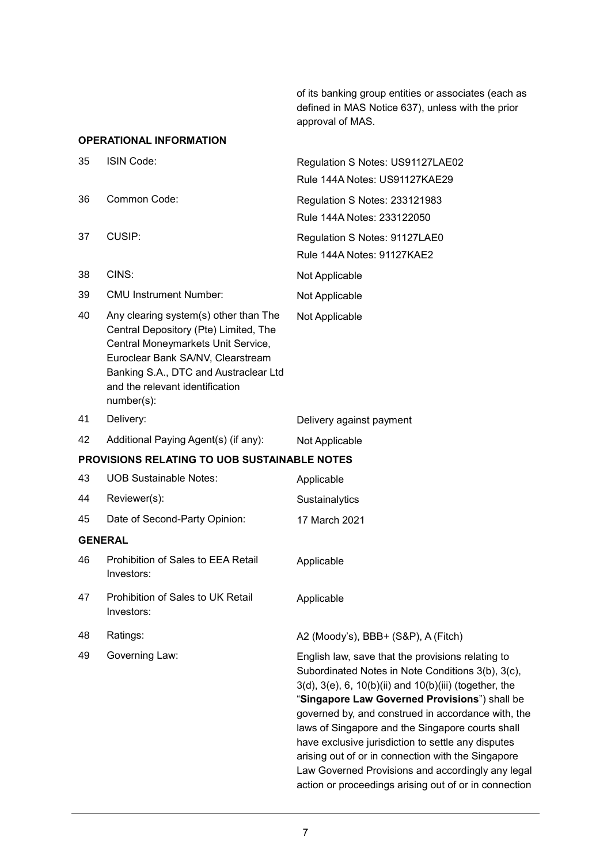of its banking group entities or associates (each as defined in MAS Notice 637), unless with the prior approval of MAS.

## **OPERATIONAL INFORMATION**

| 35                                           | ISIN Code:                                                                                                                                                                                                                                          | Regulation S Notes: US91127LAE02<br>Rule 144A Notes: US91127KAE29                                                                                                                                                                                                                                                                                                                                                                                                                                                                                     |  |  |
|----------------------------------------------|-----------------------------------------------------------------------------------------------------------------------------------------------------------------------------------------------------------------------------------------------------|-------------------------------------------------------------------------------------------------------------------------------------------------------------------------------------------------------------------------------------------------------------------------------------------------------------------------------------------------------------------------------------------------------------------------------------------------------------------------------------------------------------------------------------------------------|--|--|
| 36                                           | Common Code:                                                                                                                                                                                                                                        | Regulation S Notes: 233121983<br>Rule 144A Notes: 233122050                                                                                                                                                                                                                                                                                                                                                                                                                                                                                           |  |  |
| 37                                           | CUSIP:                                                                                                                                                                                                                                              | Regulation S Notes: 91127LAE0<br>Rule 144A Notes: 91127KAE2                                                                                                                                                                                                                                                                                                                                                                                                                                                                                           |  |  |
| 38                                           | CINS:                                                                                                                                                                                                                                               | Not Applicable                                                                                                                                                                                                                                                                                                                                                                                                                                                                                                                                        |  |  |
| 39                                           | <b>CMU Instrument Number:</b>                                                                                                                                                                                                                       | Not Applicable                                                                                                                                                                                                                                                                                                                                                                                                                                                                                                                                        |  |  |
| 40                                           | Any clearing system(s) other than The<br>Central Depository (Pte) Limited, The<br>Central Moneymarkets Unit Service,<br>Euroclear Bank SA/NV, Clearstream<br>Banking S.A., DTC and Austraclear Ltd<br>and the relevant identification<br>number(s): | Not Applicable                                                                                                                                                                                                                                                                                                                                                                                                                                                                                                                                        |  |  |
| 41                                           | Delivery:                                                                                                                                                                                                                                           | Delivery against payment                                                                                                                                                                                                                                                                                                                                                                                                                                                                                                                              |  |  |
| 42                                           | Additional Paying Agent(s) (if any):                                                                                                                                                                                                                | Not Applicable                                                                                                                                                                                                                                                                                                                                                                                                                                                                                                                                        |  |  |
| PROVISIONS RELATING TO UOB SUSTAINABLE NOTES |                                                                                                                                                                                                                                                     |                                                                                                                                                                                                                                                                                                                                                                                                                                                                                                                                                       |  |  |
| 43                                           | <b>UOB Sustainable Notes:</b>                                                                                                                                                                                                                       | Applicable                                                                                                                                                                                                                                                                                                                                                                                                                                                                                                                                            |  |  |
| 44                                           | Reviewer(s):                                                                                                                                                                                                                                        | Sustainalytics                                                                                                                                                                                                                                                                                                                                                                                                                                                                                                                                        |  |  |
| 45                                           | Date of Second-Party Opinion:                                                                                                                                                                                                                       | 17 March 2021                                                                                                                                                                                                                                                                                                                                                                                                                                                                                                                                         |  |  |
|                                              | <b>GENERAL</b>                                                                                                                                                                                                                                      |                                                                                                                                                                                                                                                                                                                                                                                                                                                                                                                                                       |  |  |
| 46                                           | Prohibition of Sales to EEA Retail<br>Investors:                                                                                                                                                                                                    | Applicable                                                                                                                                                                                                                                                                                                                                                                                                                                                                                                                                            |  |  |
| 47                                           | Prohibition of Sales to UK Retail<br>Investors:                                                                                                                                                                                                     | Applicable                                                                                                                                                                                                                                                                                                                                                                                                                                                                                                                                            |  |  |
| 48                                           | Ratings:                                                                                                                                                                                                                                            | A2 (Moody's), BBB+ (S&P), A (Fitch)                                                                                                                                                                                                                                                                                                                                                                                                                                                                                                                   |  |  |
| 49                                           | Governing Law:                                                                                                                                                                                                                                      | English law, save that the provisions relating to<br>Subordinated Notes in Note Conditions 3(b), 3(c),<br>3(d), 3(e), 6, 10(b)(ii) and 10(b)(iii) (together, the<br>"Singapore Law Governed Provisions") shall be<br>governed by, and construed in accordance with, the<br>laws of Singapore and the Singapore courts shall<br>have exclusive jurisdiction to settle any disputes<br>arising out of or in connection with the Singapore<br>Law Governed Provisions and accordingly any legal<br>action or proceedings arising out of or in connection |  |  |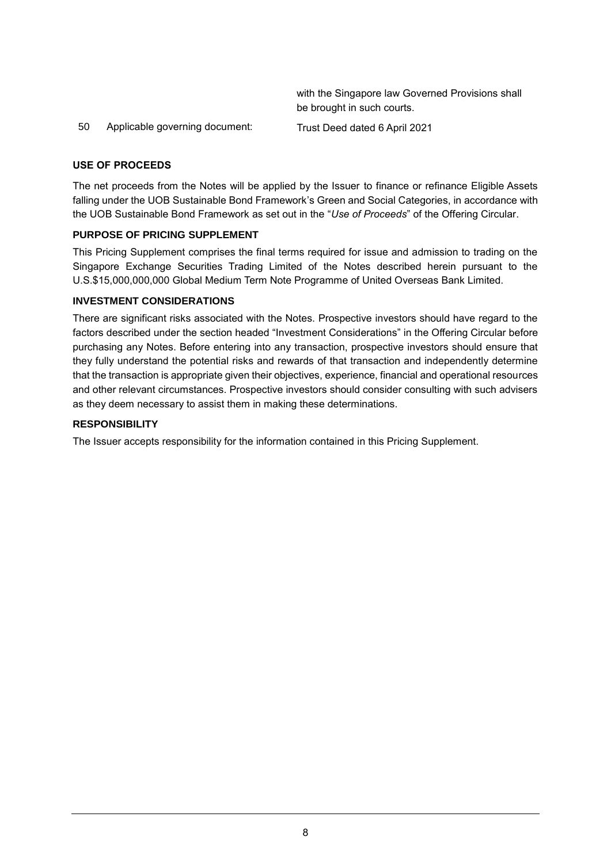|    |                                | with the Singapore law Governed Provisions shall |
|----|--------------------------------|--------------------------------------------------|
|    |                                | be brought in such courts.                       |
| 50 | Applicable governing document: | Trust Deed dated 6 April 2021                    |

## **USE OF PROCEEDS**

The net proceeds from the Notes will be applied by the Issuer to finance or refinance Eligible Assets falling under the UOB Sustainable Bond Framework's Green and Social Categories, in accordance with the UOB Sustainable Bond Framework as set out in the "*Use of Proceeds*" of the Offering Circular.

### **PURPOSE OF PRICING SUPPLEMENT**

This Pricing Supplement comprises the final terms required for issue and admission to trading on the Singapore Exchange Securities Trading Limited of the Notes described herein pursuant to the U.S.\$15,000,000,000 Global Medium Term Note Programme of United Overseas Bank Limited.

### **INVESTMENT CONSIDERATIONS**

There are significant risks associated with the Notes. Prospective investors should have regard to the factors described under the section headed "Investment Considerations" in the Offering Circular before purchasing any Notes. Before entering into any transaction, prospective investors should ensure that they fully understand the potential risks and rewards of that transaction and independently determine that the transaction is appropriate given their objectives, experience, financial and operational resources and other relevant circumstances. Prospective investors should consider consulting with such advisers as they deem necessary to assist them in making these determinations.

#### **RESPONSIBILITY**

The Issuer accepts responsibility for the information contained in this Pricing Supplement.